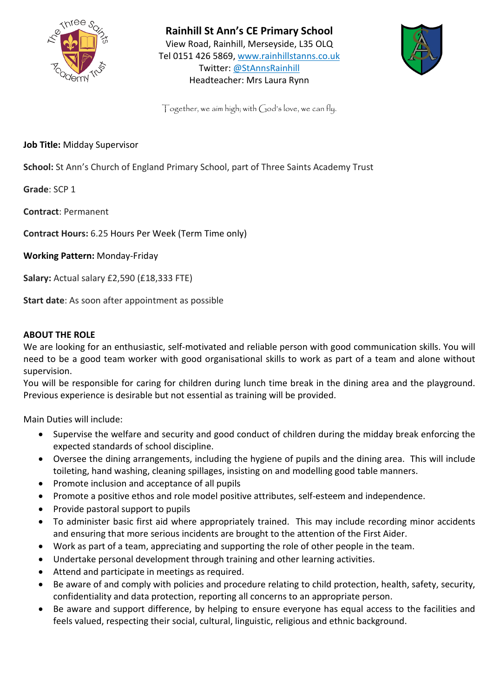

**Rainhill St Ann's CE Primary School**  View Road, Rainhill, Merseyside, L35 OLQ Tel 0151 426 5869, [www.rainhillstanns.co.uk](http://www.rainhillstanns.co.uk/) Twitter: @StAnnsRainhill Headteacher: Mrs Laura Rynn



 $Together, we aim high; with God's love, we can fly.$ 

**Job Title:** Midday Supervisor

**School:** St Ann's Church of England Primary School, part of Three Saints Academy Trust

**Grade**: SCP 1

**Contract**: Permanent

**Contract Hours:** 6.25 Hours Per Week (Term Time only)

**Working Pattern:** Monday-Friday

**Salary:** Actual salary £2,590 (£18,333 FTE)

**Start date**: As soon after appointment as possible

## **ABOUT THE ROLE**

We are looking for an enthusiastic, self-motivated and reliable person with good communication skills. You will need to be a good team worker with good organisational skills to work as part of a team and alone without supervision.

You will be responsible for caring for children during lunch time break in the dining area and the playground. Previous experience is desirable but not essential as training will be provided.

Main Duties will include:

- Supervise the welfare and security and good conduct of children during the midday break enforcing the expected standards of school discipline.
- Oversee the dining arrangements, including the hygiene of pupils and the dining area. This will include toileting, hand washing, cleaning spillages, insisting on and modelling good table manners.
- Promote inclusion and acceptance of all pupils
- Promote a positive ethos and role model positive attributes, self-esteem and independence.
- Provide pastoral support to pupils
- To administer basic first aid where appropriately trained. This may include recording minor accidents and ensuring that more serious incidents are brought to the attention of the First Aider.
- Work as part of a team, appreciating and supporting the role of other people in the team.
- Undertake personal development through training and other learning activities.
- Attend and participate in meetings as required.
- Be aware of and comply with policies and procedure relating to child protection, health, safety, security, confidentiality and data protection, reporting all concerns to an appropriate person.
- Be aware and support difference, by helping to ensure everyone has equal access to the facilities and feels valued, respecting their social, cultural, linguistic, religious and ethnic background.